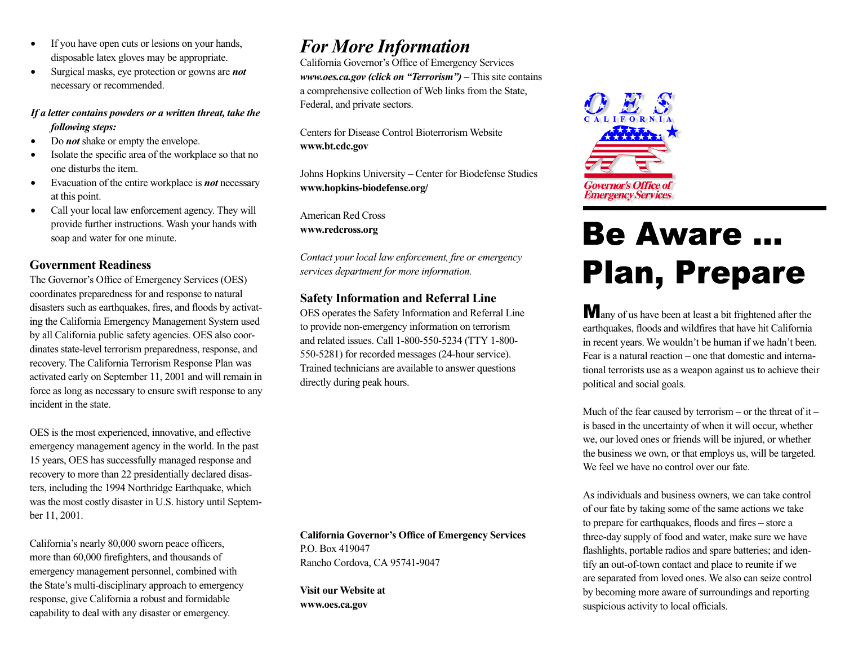- If you have open cuts or lesions on your hands, disposable latex gloves may be appropriate.
- Surgical masks, eye protection or gowns are *not* necessary or recommended.

#### *If a letter contains powders or a written threat, take the following steps:*

- Do *not* shake or empty the envelope.
- Isolate the specific area of the workplace so that no one disturbs the item.
- Evacuation of the entire workplace is *not* necessary at this point.
- Call your local law enforcement agency. They will provide further instructions. Wash your hands with soap and water for one minute.

#### **Government Readiness**

The Governor's Office of Emergency Services (OES) coordinates preparedness for and response to natural disasters such as earthquakes, fires, and floods by activating the California Emergency Management System used by all California public safety agencies. OES also coordinates state-level terrorism preparedness, response, and recovery. The California Terrorism Response Plan was activated early on September 11, 2001 and will remain in force as long as necessary to ensure swift response to any incident in the state.

OES is the most experienced, innovative, and effective emergency management agency in the world. In the past 15 years, OES has successfully managed response and recovery to more than 22 presidentially declared disasters, including the 1994 Northridge Earthquake, which was the most costly disaster in U.S. history until September 11, 2001.

California's nearly 80,000 sworn peace officers, more than 60,000 firefighters, and thousands of emergency management personnel, combined with the State's multi-disciplinary approach to emergency response, give California a robust and formidable capability to deal with any disaster or emergency.

## *For More Information*

California Governor's Office of Emergency Services *www.oes.ca.gov (click on "Terrorism")* – This site contains a comprehensive collection of Web links from the State, Federal, and private sectors.

Centers for Disease Control Bioterrorism Website **www.bt.cdc.gov**

Johns Hopkins University – Center for Biodefense Studies **www.hopkins-biodefense.org/**

American Red Cross **www.redcross.org**

*Contact your local law enforcement, fire or emergency services department for more information.* 

#### **Safety Information and Referral Line**

OES operates the Safety Information and Referral Line to provide non-emergency information on terrorism and related issues. Call 1-800-550-5234 (TTY 1-800- 550-5281) for recorded messages (24-hour service). Trained technicians are available to answer questions directly during peak hours.

**California Governor's Office of Emergency Services** P.O. Box 419047 Rancho Cordova, CA 95741-9047

**Visit our Website at www.oes.ca.gov**



# **Be Aware ... Plan, Prepare**

Many of us have been at least a bit frightened after the earthquakes, floods and wildfires that have hit California in recent years. We wouldn't be human if we hadn't been. Fear is a natural reaction – one that domestic and international terrorists use as a weapon against us to achieve their political and social goals.

Much of the fear caused by terrorism – or the threat of it – is based in the uncertainty of when it will occur, whether we, our loved ones or friends will be injured, or whether the business we own, or that employs us, will be targeted. We feel we have no control over our fate.

As individuals and business owners, we can take control of our fate by taking some of the same actions we take to prepare for earthquakes, floods and fires – store a three-day supply of food and water, make sure we have flashlights, portable radios and spare batteries; and identify an out-of-town contact and place to reunite if we are separated from loved ones. We also can seize control by becoming more aware of surroundings and reporting suspicious activity to local officials.